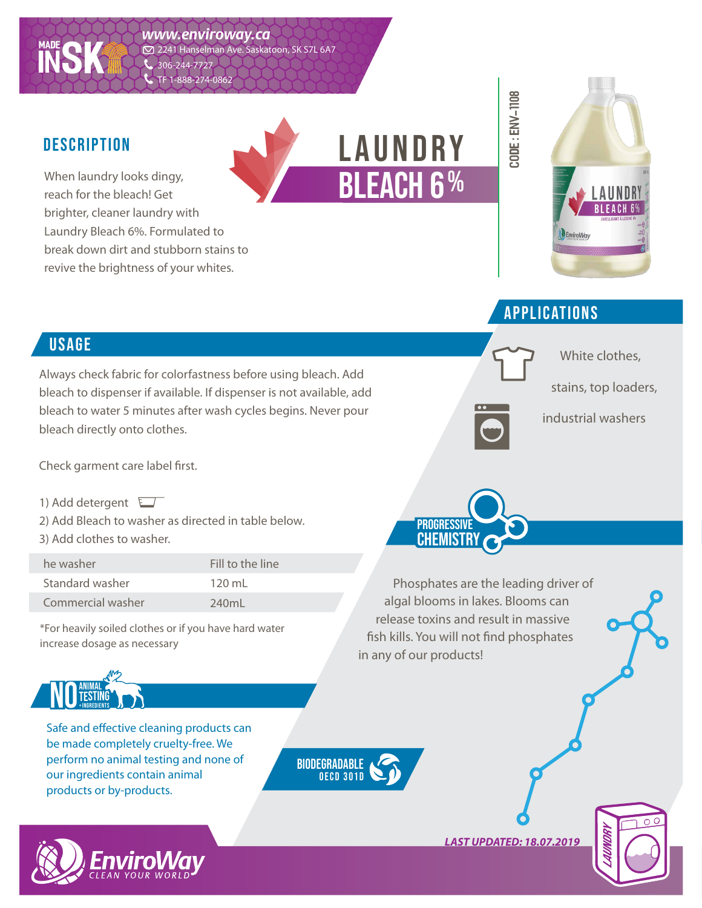

#### **DESCRIPTION**

When laundry looks dingy, reach for the bleach! Get brighter, cleaner laundry with Laundry Bleach 6%. Formulated to break down dirt and stubborn stains to revive the brightness of your whites.





White clothes,

stains, top loaders,

industrial washers

#### applications

**CODE : env-1108**

CODE : ENV-1108

# **USAGE**

Always check fabric for colorfastness before using bleach. Add bleach to dispenser if available. If dispenser is not available, add bleach to water 5 minutes after wash cycles begins. Never pour bleach directly onto clothes.

Check garment care label first.

- 1) Add detergent
- 2) Add Bleach to washer as directed in table below.
- 3) Add clothes to washer.

he washer Standard washer Commercial washer Fill to the line 120 mL 240mL

\*For heavily soiled clothes or if you have hard water increase dosage as necessary



Safe and effective cleaning products can be made completely cruelty-free. We perform no animal testing and none of our ingredients contain animal products or by-products.

biodegradable oecd 3 01 d



**PROGRESSIVE CHEMISTRY** 

Phosphates are the leading driver of algal blooms in lakes. Blooms can release toxins and result in massive fish kills. You will not find phosphates in any of our products!

*LAST UPDATED: 18.07.2019*